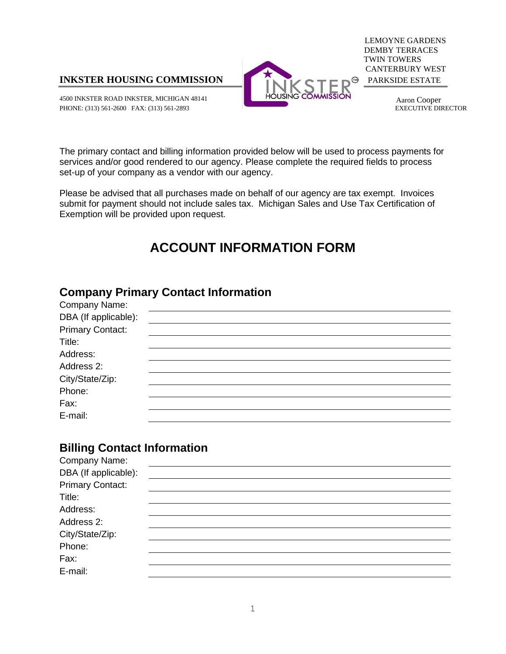

4500 INKSTER ROAD INKSTER, MICHIGAN 48141 **HOUSING COMMISSION** Aaron Cooper<br>PHONE: (313) 561-2600 FAX: (313) 561-2893 **Abrill** BLKECUTIVE DIRECTOR PHONE: (313) 561-2600 FAX: (313) 561-2893



LEMOYNE GARDENS DEMBY TERRACES TWIN TOWERS CANTERBURY WEST

The primary contact and billing information provided below will be used to process payments for services and/or good rendered to our agency. Please complete the required fields to process set-up of your company as a vendor with our agency.

Please be advised that all purchases made on behalf of our agency are tax exempt. Invoices submit for payment should not include sales tax. Michigan Sales and Use Tax Certification of Exemption will be provided upon request.

## **ACCOUNT INFORMATION FORM**

## **Company Primary Contact Information**

| Company Name:           |  |
|-------------------------|--|
| DBA (If applicable):    |  |
| <b>Primary Contact:</b> |  |
| Title:                  |  |
| Address:                |  |
| Address 2:              |  |
| City/State/Zip:         |  |
| Phone:                  |  |
| Fax:                    |  |
| E-mail:                 |  |

## **Billing Contact Information**

| Company Name:           |  |
|-------------------------|--|
| DBA (If applicable):    |  |
| <b>Primary Contact:</b> |  |
| Title:                  |  |
| Address:                |  |
| Address 2:              |  |
| City/State/Zip:         |  |
| Phone:                  |  |
| Fax:                    |  |
| E-mail:                 |  |